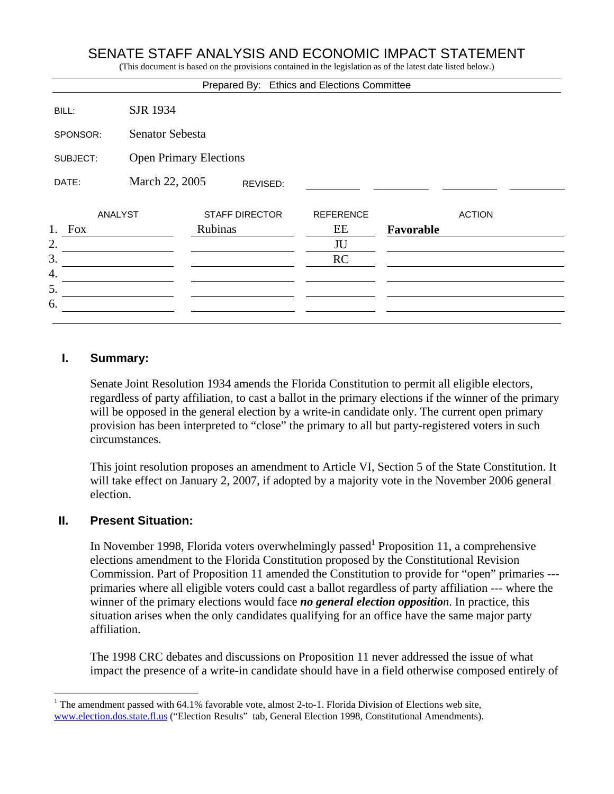# SENATE STAFF ANALYSIS AND ECONOMIC IMPACT STATEMENT

(This document is based on the provisions contained in the legislation as of the latest date listed below.)

|                  |                               |         |                       | Prepared By: Ethics and Elections Committee |           |               |
|------------------|-------------------------------|---------|-----------------------|---------------------------------------------|-----------|---------------|
| BILL:            | <b>SJR 1934</b>               |         |                       |                                             |           |               |
| SPONSOR:         | Senator Sebesta               |         |                       |                                             |           |               |
| SUBJECT:         | <b>Open Primary Elections</b> |         |                       |                                             |           |               |
| DATE:            | March 22, 2005                |         | REVISED:              |                                             |           |               |
| <b>ANALYST</b>   |                               |         | <b>STAFF DIRECTOR</b> | <b>REFERENCE</b>                            |           | <b>ACTION</b> |
| 1.<br><b>Fox</b> |                               | Rubinas |                       | EE                                          | Favorable |               |
| 2.               |                               |         |                       | JU                                          |           |               |
| 3.               |                               |         |                       | RC                                          |           |               |
| 4.               |                               |         |                       |                                             |           |               |
| 5.               |                               |         |                       |                                             |           |               |
| 6.               |                               |         |                       |                                             |           |               |
|                  |                               |         |                       |                                             |           |               |

### **I. Summary:**

Senate Joint Resolution 1934 amends the Florida Constitution to permit all eligible electors, regardless of party affiliation, to cast a ballot in the primary elections if the winner of the primary will be opposed in the general election by a write-in candidate only. The current open primary provision has been interpreted to "close" the primary to all but party-registered voters in such circumstances.

This joint resolution proposes an amendment to Article VI, Section 5 of the State Constitution. It will take effect on January 2, 2007, if adopted by a majority vote in the November 2006 general election.

#### **II. Present Situation:**

 $\overline{a}$ 

In November 1998, Florida voters overwhelmingly passed  $P$  Proposition 11, a comprehensive elections amendment to the Florida Constitution proposed by the Constitutional Revision Commission. Part of Proposition 11 amended the Constitution to provide for "open" primaries -- primaries where all eligible voters could cast a ballot regardless of party affiliation --- where the winner of the primary elections would face *no general election opposition*. In practice, this situation arises when the only candidates qualifying for an office have the same major party affiliation.

The 1998 CRC debates and discussions on Proposition 11 never addressed the issue of what impact the presence of a write-in candidate should have in a field otherwise composed entirely of

<sup>&</sup>lt;sup>1</sup> The amendment passed with 64.1% favorable vote, almost 2-to-1. Florida Division of Elections web site, www.election.dos.state.fl.us ("Election Results" tab, General Election 1998, Constitutional Amendments).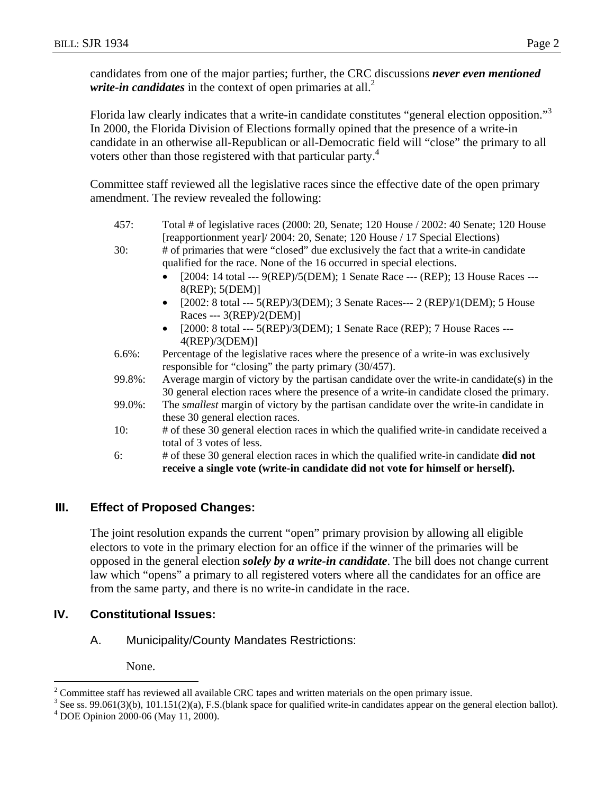candidates from one of the major parties; further, the CRC discussions *never even mentioned write-in candidates* in the context of open primaries at all.<sup>2</sup>

Florida law clearly indicates that a write-in candidate constitutes "general election opposition."<sup>3</sup> In 2000, the Florida Division of Elections formally opined that the presence of a write-in candidate in an otherwise all-Republican or all-Democratic field will "close" the primary to all voters other than those registered with that particular party.<sup>4</sup>

Committee staff reviewed all the legislative races since the effective date of the open primary amendment. The review revealed the following:

| 457:      | Total # of legislative races (2000: 20, Senate; 120 House / 2002: 40 Senate; 120 House<br>[reapportionment year]/ 2004: 20, Senate; 120 House / 17 Special Elections)                 |  |  |  |  |
|-----------|---------------------------------------------------------------------------------------------------------------------------------------------------------------------------------------|--|--|--|--|
| 30:       | # of primaries that were "closed" due exclusively the fact that a write-in candidate<br>qualified for the race. None of the 16 occurred in special elections.                         |  |  |  |  |
|           | [2004: 14 total --- 9(REP)/5(DEM); 1 Senate Race --- (REP); 13 House Races ---<br>$8$ (REP); $5$ (DEM)]                                                                               |  |  |  |  |
|           | [2002: 8 total --- 5(REP)/3(DEM); 3 Senate Races--- 2 (REP)/1(DEM); 5 House<br>Races --- $3(REP)/2(DEM)$ ]                                                                            |  |  |  |  |
|           | [2000: 8 total --- 5(REP)/3(DEM); 1 Senate Race (REP); 7 House Races ---<br>$4$ (REP)/3(DEM)]                                                                                         |  |  |  |  |
| $6.6\%$ : | Percentage of the legislative races where the presence of a write-in was exclusively<br>responsible for "closing" the party primary (30/457).                                         |  |  |  |  |
| 99.8%:    | Average margin of victory by the partisan candidate over the write-in candidate(s) in the<br>30 general election races where the presence of a write-in candidate closed the primary. |  |  |  |  |
| 99.0%:    | The <i>smallest</i> margin of victory by the partisan candidate over the write-in candidate in<br>these 30 general election races.                                                    |  |  |  |  |
| 10:       | # of these 30 general election races in which the qualified write-in candidate received a<br>total of 3 votes of less.                                                                |  |  |  |  |
| 6:        | # of these 30 general election races in which the qualified write-in candidate did not<br>receive a single vote (write-in candidate did not vote for himself or herself).             |  |  |  |  |

# **III. Effect of Proposed Changes:**

The joint resolution expands the current "open" primary provision by allowing all eligible electors to vote in the primary election for an office if the winner of the primaries will be opposed in the general election *solely by a write-in candidate*. The bill does not change current law which "opens" a primary to all registered voters where all the candidates for an office are from the same party, and there is no write-in candidate in the race.

# **IV. Constitutional Issues:**

A. Municipality/County Mandates Restrictions:

None.

 $\overline{a}$ 

<sup>&</sup>lt;sup>2</sup> Committee staff has reviewed all available CRC tapes and written materials on the open primary issue.<br><sup>3</sup> See ss. 00.061(2)(b), 101.151(2)(e), E.S. (blank apese for qualified write in condidates appear on the gas

 $3$  See ss. 99.061(3)(b), 101.151(2)(a), F.S.(blank space for qualified write-in candidates appear on the general election ballot).

DOE Opinion 2000-06 (May 11, 2000).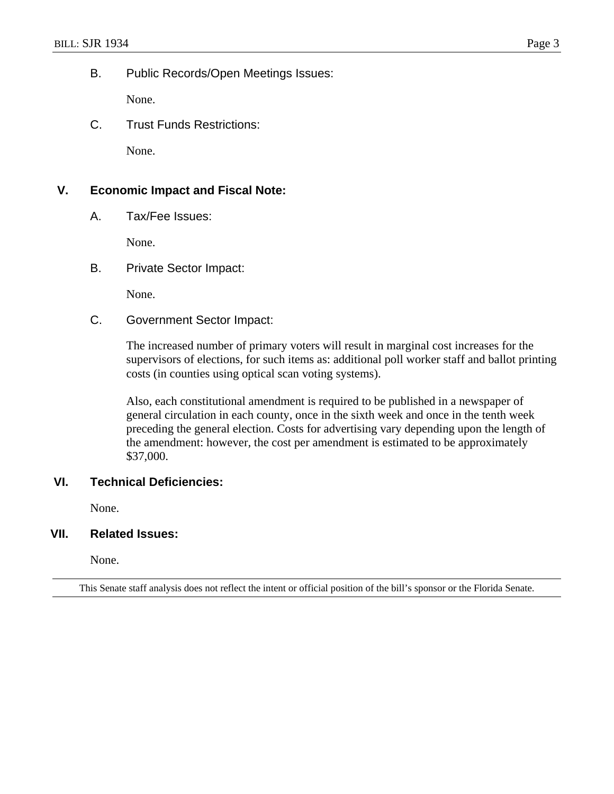B. Public Records/Open Meetings Issues:

None.

C. Trust Funds Restrictions:

None.

### **V. Economic Impact and Fiscal Note:**

A. Tax/Fee Issues:

None.

B. Private Sector Impact:

None.

C. Government Sector Impact:

The increased number of primary voters will result in marginal cost increases for the supervisors of elections, for such items as: additional poll worker staff and ballot printing costs (in counties using optical scan voting systems).

Also, each constitutional amendment is required to be published in a newspaper of general circulation in each county, once in the sixth week and once in the tenth week preceding the general election. Costs for advertising vary depending upon the length of the amendment: however, the cost per amendment is estimated to be approximately \$37,000.

## **VI. Technical Deficiencies:**

None.

#### **VII. Related Issues:**

None.

This Senate staff analysis does not reflect the intent or official position of the bill's sponsor or the Florida Senate.